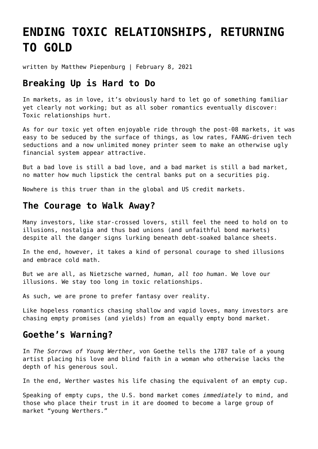# **[ENDING TOXIC RELATIONSHIPS, RETURNING](https://goldswitzerland.com/ending-toxic-relationships-returning-to-gold/) [TO GOLD](https://goldswitzerland.com/ending-toxic-relationships-returning-to-gold/)**

written by Matthew Piepenburg | February 8, 2021

#### **Breaking Up is Hard to Do**

In markets, as in love, it's obviously hard to let go of something familiar yet clearly not working; but as all sober romantics eventually discover: Toxic relationships hurt.

As for our toxic yet often enjoyable ride through the post-08 markets, it was easy to be seduced by the surface of things, as low rates, FAANG-driven tech seductions and a now unlimited money printer seem to make an otherwise ugly financial system appear attractive.

But a bad love is still a bad love, and a bad market is still a bad market, no matter how much lipstick the central banks put on a securities pig.

Nowhere is this truer than in the global and US credit markets.

### **The Courage to Walk Away?**

Many investors, like star-crossed lovers, still feel the need to hold on to illusions, nostalgia and thus bad unions (and unfaithful bond markets) despite all the danger signs lurking beneath debt-soaked balance sheets.

In the end, however, it takes a kind of personal courage to shed illusions and embrace cold math.

But we are all, as Nietzsche warned, *human, all too human*. We love our illusions. We stay too long in toxic relationships.

As such, we are prone to prefer fantasy over reality.

Like hopeless romantics chasing shallow and vapid loves, many investors are chasing empty promises (and yields) from an equally empty bond market.

### **Goethe's Warning?**

In *The Sorrows of Young Werther*, von Goethe tells the 1787 tale of a young artist placing his love and blind faith in a woman who otherwise lacks the depth of his generous soul.

In the end, Werther wastes his life chasing the equivalent of an empty cup.

Speaking of empty cups, the U.S. bond market comes *immediately* to mind, and those who place their trust in it are doomed to become a large group of market "young Werthers."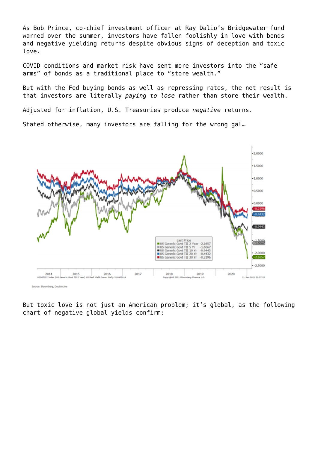As Bob Prince, co-chief investment officer at Ray Dalio's Bridgewater fund warned over the summer, investors have fallen foolishly in love with bonds and negative yielding returns despite obvious signs of deception and toxic love.

COVID conditions and market risk have sent more investors into the "safe arms" of bonds as a traditional place to "store wealth."

But with the Fed buying bonds as well as repressing rates, the net result is that investors are literally *paying to lose* rather than store their wealth.

Adjusted for inflation, U.S. Treasuries produce *negative* returns.

Stated otherwise, many investors are falling for the wrong gal…



But toxic love is not just an American problem; it's global, as the following chart of negative global yields confirm: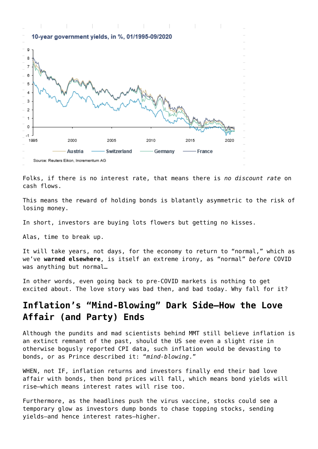

Folks, if there is no interest rate, that means there is *no discount rate* on cash flows.

This means the reward of holding bonds is blatantly asymmetric to the risk of losing money.

In short, investors are buying lots flowers but getting no kisses.

Alas, time to break up.

It will take years, not days, for the economy to return to "normal," which as we've **[warned elsewhere](https://goldswitzerland.com/no-going-back-to-normal/)**, is itself an extreme irony, as "normal" *before* COVID was anything but normal…

In other words, even going back to pre-COVID markets is nothing to get excited about. The love story was bad then, and bad today. Why fall for it?

## **Inflation's "Mind-Blowing" Dark Side—How the Love Affair (and Party) Ends**

Although the pundits and mad scientists behind MMT still believe inflation is an extinct remnant of the past, should the US see even a slight rise in otherwise bogusly reported CPI data, such inflation would be devasting to bonds, or as Prince described it: "*mind-blowing*."

WHEN, not IF, inflation returns and investors finally end their bad love affair with bonds, then bond prices will fall, which means bond yields will rise—which means interest rates will rise too.

Furthermore, as the headlines push the virus vaccine, stocks could see a temporary glow as investors dump bonds to chase topping stocks, sending yields—and hence interest rates—higher.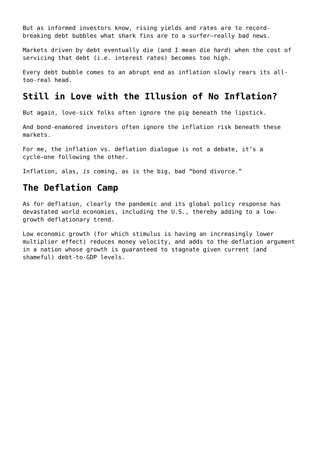But as informed investors know, rising yields and rates are to recordbreaking debt bubbles what shark fins are to a surfer—really bad news.

Markets driven by debt eventually die (and I mean die *hard*) when the cost of servicing that debt (i.e. interest rates) becomes too high.

Every debt bubble comes to an abrupt end as inflation slowly rears its alltoo-real head.

## **Still in Love with the Illusion of No Inflation?**

But again, love-sick folks often ignore the pig beneath the lipstick.

And bond-enamored investors often ignore the inflation risk beneath these markets.

For me, the inflation vs. deflation dialogue is not a debate, it's a cycle—one following the other.

Inflation, alas, *is* coming, as is the big, bad "bond divorce."

### **The Deflation Camp**

As for deflation, clearly the pandemic and its global policy response has devastated world economies, including the U.S., thereby adding to a lowgrowth deflationary trend.

Low economic growth (for which stimulus is having an increasingly lower multiplier effect) reduces money velocity, and adds to the deflation argument in a nation whose growth is guaranteed to stagnate given current (and shameful) debt-to-GDP levels.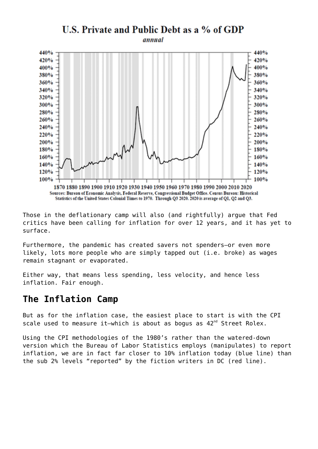

Those in the deflationary camp will also (and rightfully) argue that Fed critics have been calling for inflation for over 12 years, and it has yet to surface.

Furthermore, the pandemic has created savers not spenders—or even more likely, lots more people who are simply tapped out (i.e. broke) as wages remain stagnant or evaporated.

Either way, that means less spending, less velocity, and hence less inflation. Fair enough.

#### **The Inflation Camp**

But as for the inflation case, the easiest place to start is with the CPI scale used to measure it—which is about as bogus as 42<sup>nd</sup> Street Rolex.

Using the CPI methodologies of the 1980's rather than the watered-down version which the Bureau of Labor Statistics employs (manipulates) to report inflation, we are in fact far closer to 10% inflation today (blue line) than the sub 2% levels "reported" by the fiction writers in DC (red line).

## U.S. Private and Public Debt as a % of GDP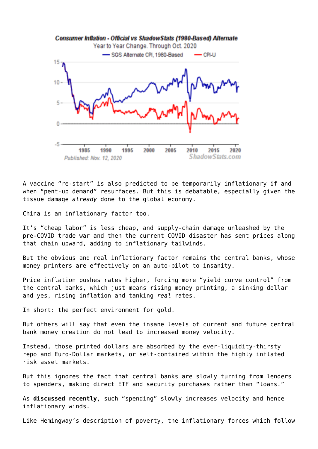

A vaccine "re-start" is also predicted to be temporarily inflationary if and when "pent-up demand" resurfaces. But this is debatable, especially given the tissue damage *already* done to the global economy.

China is an inflationary factor too.

It's "cheap labor" is less cheap, and supply-chain damage unleashed by the pre-COVID trade war and then the current COVID disaster has sent prices along that chain upward, adding to inflationary tailwinds.

But the obvious and real inflationary factor remains the central banks, whose money printers are effectively on an auto-pilot to insanity.

Price inflation pushes rates higher, forcing more "yield curve control" from the central banks, which just means rising money printing, a sinking dollar and yes, rising inflation and tanking *real* rates.

In short: the perfect environment for gold.

But others will say that even the insane levels of current and future central bank money creation do not lead to increased money velocity.

Instead, those printed dollars are absorbed by the ever-liquidity-thirsty repo and Euro-Dollar markets, or self-contained within the highly inflated risk asset markets.

But this ignores the fact that central banks are slowly turning from lenders to spenders, making direct ETF and security purchases rather than "loans."

As **[discussed recently](https://goldswitzerland.com/the-philosophy-of-debt-the-math-of-precious-metals/)**, such "spending" slowly increases velocity and hence inflationary winds.

Like Hemingway's description of poverty, the inflationary forces which follow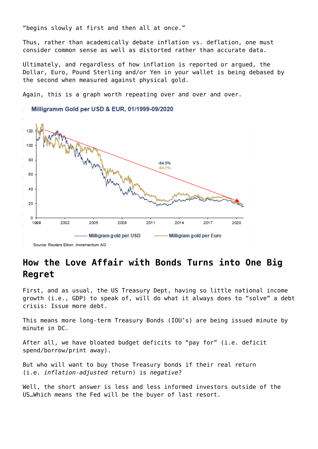"begins slowly at first and then all at once."

Thus, rather than academically debate inflation vs. deflation, one must consider common sense as well as distorted rather than accurate data.

Ultimately, and regardless of how inflation is reported or argued, the Dollar, Euro, Pound Sterling and/or Yen in your wallet is being debased by the second when measured against physical gold.

Again, this is a graph worth repeating over and over and over.



Source: Reuters Eikon, Incrementum AG

## **How the Love Affair with Bonds Turns into One Big Regret**

First, and as usual, the US Treasury Dept, having so little national income growth (i.e., GDP) to speak of, will do what it always does to "solve" a debt crisis: Issue more debt.

This means more long-term Treasury Bonds (IOU's) are being issued minute by minute in DC.

After all, we have bloated budget deficits to "pay for" (i.e. deficit spend/borrow/print away).

But who will want to buy those Treasury bonds if their real return (i.e. *inflation-adjusted* return) is *negative*?

Well, the short answer is less and less informed investors outside of the US…Which means the Fed will be the buyer of last resort.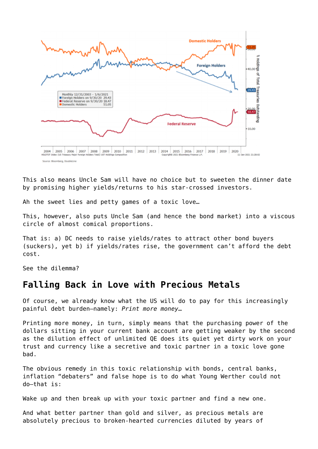

This also means Uncle Sam will have no choice but to sweeten the dinner date by promising higher yields/returns to his star-crossed investors.

Ah the sweet lies and petty games of a toxic love…

This, however, also puts Uncle Sam (and hence the bond market) into a viscous circle of almost comical proportions.

That is: a) DC needs to raise yields/rates to attract other bond buyers (suckers), yet b) if yields/rates rise, the government can't afford the debt cost.

See the dilemma?

#### **Falling Back in Love with Precious Metals**

Of course, we already know what the US will do to pay for this increasingly painful debt burden—namely: *Print more money*…

Printing more money, in turn, simply means that the purchasing power of the dollars sitting in your current bank account are getting weaker by the second as the dilution effect of unlimited QE does its quiet yet dirty work on your trust and currency like a secretive and toxic partner in a toxic love gone bad.

The obvious remedy in this toxic relationship with bonds, central banks, inflation "debaters" and false hope is to do what Young Werther could not do—that is:

Wake up and then break up with your toxic partner and find a new one.

And what better partner than gold and silver, as precious metals are absolutely precious to broken-hearted currencies diluted by years of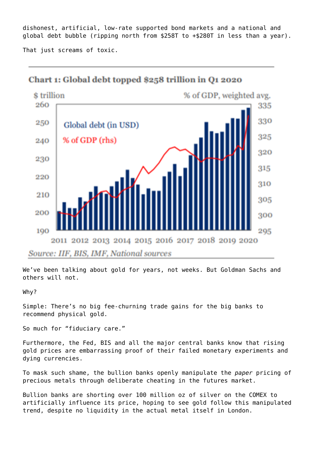dishonest, artificial, low-rate supported bond markets and a national and global debt bubble (ripping north from \$258T to +\$280T in less than a year).

That just screams of toxic.



#### Chart 1: Global debt topped \$258 trillion in O1 2020

We've been talking about gold for years, not weeks. But Goldman Sachs and others will not.

#### Why?

Simple: There's no big fee-churning trade gains for the big banks to recommend physical gold.

So much for "fiduciary care."

Furthermore, the Fed, BIS and all the major central banks know that rising gold prices are embarrassing proof of their failed monetary experiments and dying currencies.

To mask such shame, the bullion banks openly manipulate the *paper* pricing of precious metals through deliberate cheating in the futures market.

Bullion banks are shorting over 100 million oz of silver on the COMEX to artificially influence its price, hoping to see gold follow this manipulated trend, despite no liquidity in the actual metal itself in London.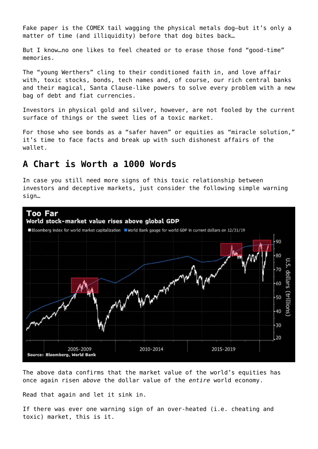Fake paper is the COMEX tail wagging the physical metals dog—but it's only a matter of time (and illiquidity) before that dog bites back…

But I know…no one likes to feel cheated or to erase those fond "good-time" memories.

The "young Werthers" cling to their conditioned faith in, and love affair with, toxic stocks, bonds, tech names and, of course, our rich central banks and their magical, Santa Clause-like powers to solve every problem with a new bag of debt and fiat currencies.

Investors in physical gold and silver, however, are not fooled by the current surface of things or the sweet lies of a toxic market.

For those who see bonds as a "safer haven" or equities as "miracle solution," it's time to face facts and break up with such dishonest affairs of the wallet.

#### **A Chart is Worth a 1000 Words**

In case you still need more signs of this toxic relationship between investors and deceptive markets, just consider the following simple warning sign…



The above data confirms that the market value of the world's equities has once again risen *above* the dollar value of the *entire* world economy.

Read that again and let it sink in.

If there was ever one warning sign of an over-heated (i.e. cheating and toxic) market, this is it.